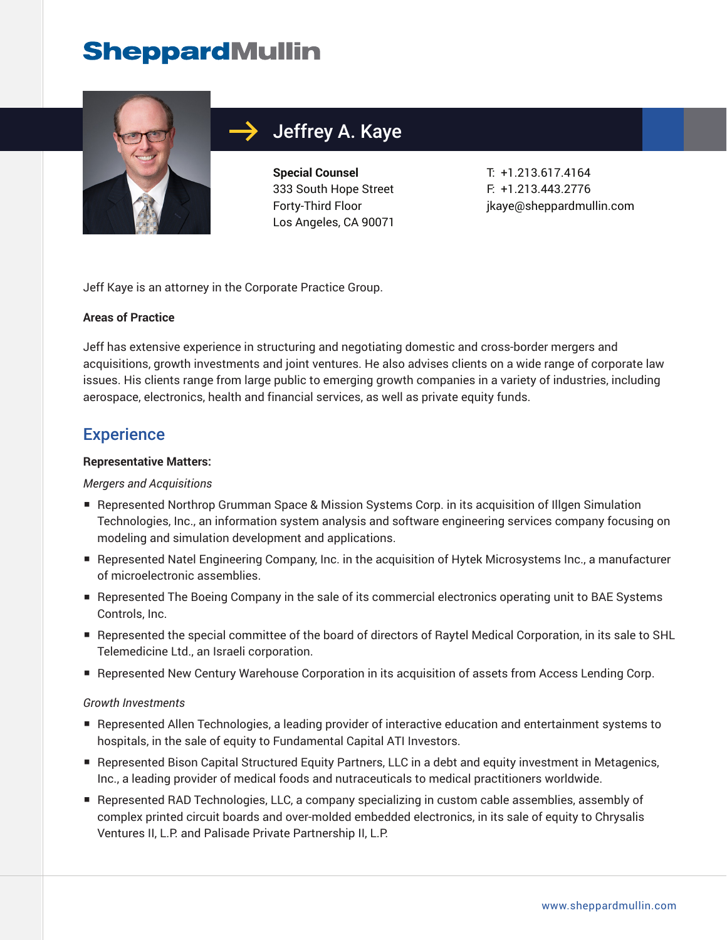# **SheppardMullin**



## Jeffrey A. Kaye

**Special Counsel** 333 South Hope Street Forty-Third Floor Los Angeles, CA 90071

T: +1.213.617.4164 F: +1.213.443.2776 jkaye@sheppardmullin.com

Jeff Kaye is an attorney in the Corporate Practice Group.

#### **Areas of Practice**

Jeff has extensive experience in structuring and negotiating domestic and cross-border mergers and acquisitions, growth investments and joint ventures. He also advises clients on a wide range of corporate law issues. His clients range from large public to emerging growth companies in a variety of industries, including aerospace, electronics, health and financial services, as well as private equity funds.

## **Experience**

#### **Representative Matters:**

#### *Mergers and Acquisitions*

- Represented Northrop Grumman Space & Mission Systems Corp. in its acquisition of Illgen Simulation Technologies, Inc., an information system analysis and software engineering services company focusing on modeling and simulation development and applications.
- Represented Natel Engineering Company, Inc. in the acquisition of Hytek Microsystems Inc., a manufacturer of microelectronic assemblies.
- Represented The Boeing Company in the sale of its commercial electronics operating unit to BAE Systems Controls, Inc.
- Represented the special committee of the board of directors of Raytel Medical Corporation, in its sale to SHL Telemedicine Ltd., an Israeli corporation.
- Represented New Century Warehouse Corporation in its acquisition of assets from Access Lending Corp.

#### *Growth Investments*

- Represented Allen Technologies, a leading provider of interactive education and entertainment systems to hospitals, in the sale of equity to Fundamental Capital ATI Investors.
- Represented Bison Capital Structured Equity Partners, LLC in a debt and equity investment in Metagenics, Inc., a leading provider of medical foods and nutraceuticals to medical practitioners worldwide.
- Represented RAD Technologies, LLC, a company specializing in custom cable assemblies, assembly of complex printed circuit boards and over-molded embedded electronics, in its sale of equity to Chrysalis Ventures II, L.P. and Palisade Private Partnership II, L.P.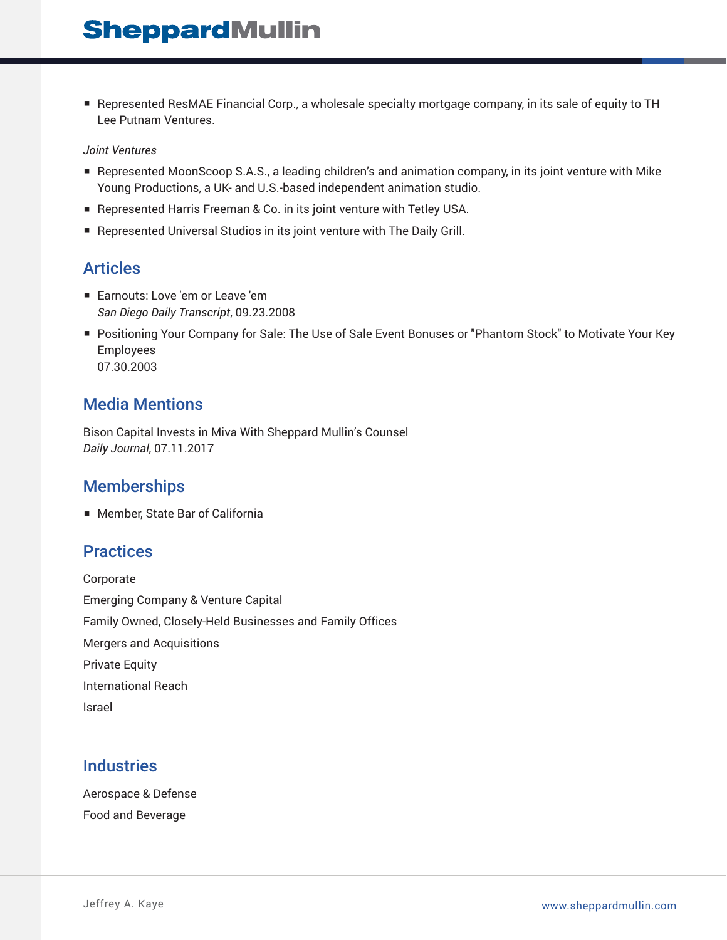■ Represented ResMAE Financial Corp., a wholesale specialty mortgage company, in its sale of equity to TH Lee Putnam Ventures.

#### *Joint Ventures*

- Represented MoonScoop S.A.S., a leading children's and animation company, in its joint venture with Mike Young Productions, a UK- and U.S.-based independent animation studio.
- Represented Harris Freeman & Co. in its joint venture with Tetley USA.
- Represented Universal Studios in its joint venture with The Daily Grill.

## Articles

- Earnouts: Love 'em or Leave 'em *San Diego Daily Transcript*, 09.23.2008
- Positioning Your Company for Sale: The Use of Sale Event Bonuses or "Phantom Stock" to Motivate Your Key Employees 07.30.2003

#### Media Mentions

Bison Capital Invests in Miva With Sheppard Mullin's Counsel *Daily Journal*, 07.11.2017

## **Memberships**

■ Member, State Bar of California

#### **Practices**

Corporate Emerging Company & Venture Capital Family Owned, Closely-Held Businesses and Family Offices Mergers and Acquisitions Private Equity International Reach Israel

## **Industries**

Aerospace & Defense Food and Beverage